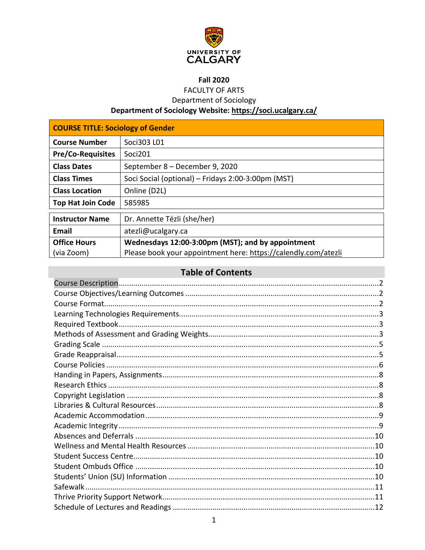

# **Fall 2020**

**FACULTY OF ARTS** 

Department of Sociology

Department of Sociology Website: https://soci.ucalgary.ca/

| <b>COURSE TITLE: Sociology of Gender</b> |                                                                |  |  |
|------------------------------------------|----------------------------------------------------------------|--|--|
| <b>Course Number</b>                     | Soci303 L01                                                    |  |  |
| <b>Pre/Co-Requisites</b>                 | Soci201                                                        |  |  |
| <b>Class Dates</b>                       | September 8 - December 9, 2020                                 |  |  |
| <b>Class Times</b>                       | Soci Social (optional) - Fridays 2:00-3:00pm (MST)             |  |  |
| <b>Class Location</b>                    | Online (D2L)                                                   |  |  |
| <b>Top Hat Join Code</b>                 | 585985                                                         |  |  |
| <b>Instructor Name</b>                   | Dr. Annette Tézli (she/her)                                    |  |  |
| <b>Fmail</b>                             | atezli@ucalgary.ca                                             |  |  |
| <b>Office Hours</b>                      | Wednesdays 12:00-3:00pm (MST); and by appointment              |  |  |
| (via Zoom)                               | Please book your appointment here: https://calendly.com/atezli |  |  |

# **Table of Contents**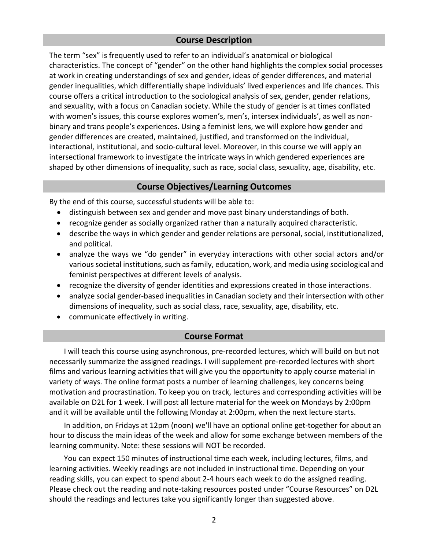## **Course Description**

<span id="page-1-0"></span>The term "sex" is frequently used to refer to an individual's anatomical or biological characteristics. The concept of "gender" on the other hand highlights the complex social processes at work in creating understandings of sex and gender, ideas of gender differences, and material gender inequalities, which differentially shape individuals' lived experiences and life chances. This course offers a critical introduction to the sociological analysis of sex, gender, gender relations, and sexuality, with a focus on Canadian society. While the study of gender is at times conflated with women's issues, this course explores women's, men's, intersex individuals', as well as nonbinary and trans people's experiences. Using a feminist lens, we will explore how gender and gender differences are created, maintained, justified, and transformed on the individual, interactional, institutional, and socio-cultural level. Moreover, in this course we will apply an intersectional framework to investigate the intricate ways in which gendered experiences are shaped by other dimensions of inequality, such as race, social class, sexuality, age, disability, etc.

#### **Course Objectives/Learning Outcomes**

<span id="page-1-1"></span>By the end of this course, successful students will be able to:

- distinguish between sex and gender and move past binary understandings of both.
- recognize gender as socially organized rather than a naturally acquired characteristic.
- describe the ways in which gender and gender relations are personal, social, institutionalized, and political.
- analyze the ways we "do gender" in everyday interactions with other social actors and/or various societal institutions, such as family, education, work, and media using sociological and feminist perspectives at different levels of analysis.
- recognize the diversity of gender identities and expressions created in those interactions.
- analyze social gender-based inequalities in Canadian society and their intersection with other dimensions of inequality, such as social class, race, sexuality, age, disability, etc.
- communicate effectively in writing.

#### **Course Format**

<span id="page-1-2"></span>I will teach this course using asynchronous, pre-recorded lectures, which will build on but not necessarily summarize the assigned readings. I will supplement pre-recorded lectures with short films and various learning activities that will give you the opportunity to apply course material in variety of ways. The online format posts a number of learning challenges, key concerns being motivation and procrastination. To keep you on track, lectures and corresponding activities will be available on D2L for 1 week. I will post all lecture material for the week on Mondays by 2:00pm and it will be available until the following Monday at 2:00pm, when the next lecture starts.

In addition, on Fridays at 12pm (noon) we'll have an optional online get-together for about an hour to discuss the main ideas of the week and allow for some exchange between members of the learning community. Note: these sessions will NOT be recorded.

You can expect 150 minutes of instructional time each week, including lectures, films, and learning activities. Weekly readings are not included in instructional time. Depending on your reading skills, you can expect to spend about 2-4 hours each week to do the assigned reading. Please check out the reading and note-taking resources posted under "Course Resources" on D2L should the readings and lectures take you significantly longer than suggested above.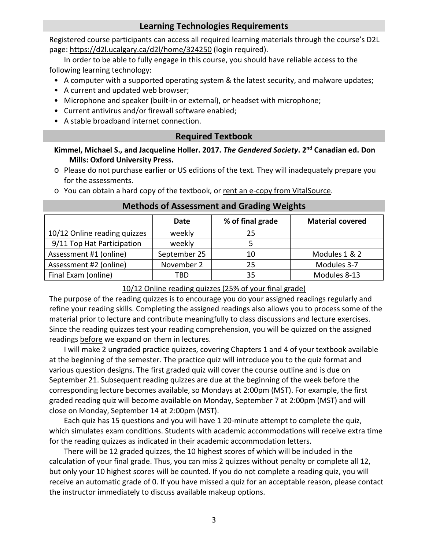## **Learning Technologies Requirements**

<span id="page-2-0"></span>Registered course participants can access all required learning materials through the course's D2L page:<https://d2l.ucalgary.ca/d2l/home/324250> (login required).

In order to be able to fully engage in this course, you should have reliable access to the following learning technology:

- A computer with a supported operating system & the latest security, and malware updates;
- A current and updated web browser;
- Microphone and speaker (built-in or external), or headset with microphone;
- Current antivirus and/or firewall software enabled;
- <span id="page-2-1"></span>• A stable broadband internet connection.

#### **Required Textbook**

**Kimmel, Michael S., and Jacqueline Holler. 2017.** *The Gendered Society***. 2nd Canadian ed. Don Mills: Oxford University Press.**

- o Please do not purchase earlier or US editions of the text. They will inadequately prepare you for the assessments.
- o You can obtain a hard copy of the textbook, or [rent an e-copy from VitalSource.](https://www.vitalsource.com/en-ca/products/the-gendered-society-michael-s-kimmel-jacqueline-v9780199008230)

<span id="page-2-2"></span>

|                              | Date         | % of final grade | <b>Material covered</b> |
|------------------------------|--------------|------------------|-------------------------|
| 10/12 Online reading quizzes | weekly       | 25               |                         |
| 9/11 Top Hat Participation   | weekly       |                  |                         |
| Assessment #1 (online)       | September 25 | 10               | Modules 1 & 2           |
| Assessment #2 (online)       | November 2   | 25               | Modules 3-7             |
| Final Exam (online)          | TBD          | 35               | Modules 8-13            |

#### **Methods of Assessment and Grading Weights**

#### 10/12 Online reading quizzes (25% of your final grade)

The purpose of the reading quizzes is to encourage you do your assigned readings regularly and refine your reading skills. Completing the assigned readings also allows you to process some of the material prior to lecture and contribute meaningfully to class discussions and lecture exercises. Since the reading quizzes test your reading comprehension, you will be quizzed on the assigned readings before we expand on them in lectures.

I will make 2 ungraded practice quizzes, covering Chapters 1 and 4 of your textbook available at the beginning of the semester. The practice quiz will introduce you to the quiz format and various question designs. The first graded quiz will cover the course outline and is due on September 21. Subsequent reading quizzes are due at the beginning of the week before the corresponding lecture becomes available, so Mondays at 2:00pm (MST). For example, the first graded reading quiz will become available on Monday, September 7 at 2:00pm (MST) and will close on Monday, September 14 at 2:00pm (MST).

Each quiz has 15 questions and you will have 1 20-minute attempt to complete the quiz, which simulates exam conditions. Students with academic accommodations will receive extra time for the reading quizzes as indicated in their academic accommodation letters.

There will be 12 graded quizzes, the 10 highest scores of which will be included in the calculation of your final grade. Thus, you can miss 2 quizzes without penalty or complete all 12, but only your 10 highest scores will be counted. If you do not complete a reading quiz, you will receive an automatic grade of 0. If you have missed a quiz for an acceptable reason, please contact the instructor immediately to discuss available makeup options.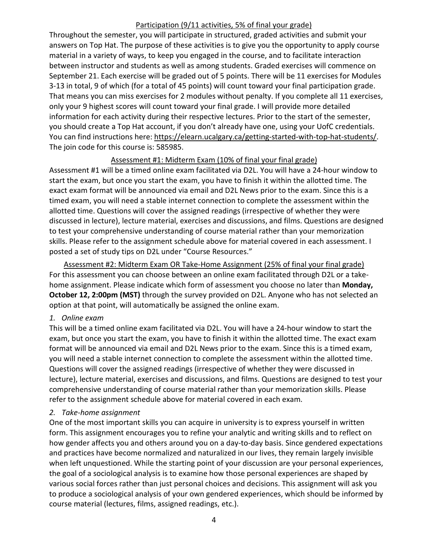### Participation (9/11 activities, 5% of final your grade)

Throughout the semester, you will participate in structured, graded activities and submit your answers on Top Hat. The purpose of these activities is to give you the opportunity to apply course material in a variety of ways, to keep you engaged in the course, and to facilitate interaction between instructor and students as well as among students. Graded exercises will commence on September 21. Each exercise will be graded out of 5 points. There will be 11 exercises for Modules 3-13 in total, 9 of which (for a total of 45 points) will count toward your final participation grade. That means you can miss exercises for 2 modules without penalty. If you complete all 11 exercises, only your 9 highest scores will count toward your final grade. I will provide more detailed information for each activity during their respective lectures. Prior to the start of the semester, you should create a Top Hat account, if you don't already have one, using your UofC credentials. You can find instructions here: [https://elearn.ucalgary.ca/getting-started-with-top-hat-students/.](https://elearn.ucalgary.ca/getting-started-with-top-hat-students/) The join code for this course is: 585985.

## Assessment #1: Midterm Exam (10% of final your final grade)

Assessment #1 will be a timed online exam facilitated via D2L. You will have a 24-hour window to start the exam, but once you start the exam, you have to finish it within the allotted time. The exact exam format will be announced via email and D2L News prior to the exam. Since this is a timed exam, you will need a stable internet connection to complete the assessment within the allotted time. Questions will cover the assigned readings (irrespective of whether they were discussed in lecture), lecture material, exercises and discussions, and films. Questions are designed to test your comprehensive understanding of course material rather than your memorization skills. Please refer to the assignment schedule above for material covered in each assessment. I posted a set of study tips on D2L under "Course Resources."

Assessment #2: Midterm Exam OR Take-Home Assignment (25% of final your final grade) For this assessment you can choose between an online exam facilitated through D2L or a takehome assignment. Please indicate which form of assessment you choose no later than **Monday, October 12, 2:00pm (MST)** through the survey provided on D2L. Anyone who has not selected an option at that point, will automatically be assigned the online exam.

#### *1. Online exam*

This will be a timed online exam facilitated via D2L. You will have a 24-hour window to start the exam, but once you start the exam, you have to finish it within the allotted time. The exact exam format will be announced via email and D2L News prior to the exam. Since this is a timed exam, you will need a stable internet connection to complete the assessment within the allotted time. Questions will cover the assigned readings (irrespective of whether they were discussed in lecture), lecture material, exercises and discussions, and films. Questions are designed to test your comprehensive understanding of course material rather than your memorization skills. Please refer to the assignment schedule above for material covered in each exam.

## *2. Take-home assignment*

One of the most important skills you can acquire in university is to express yourself in written form. This assignment encourages you to refine your analytic and writing skills and to reflect on how gender affects you and others around you on a day-to-day basis. Since gendered expectations and practices have become normalized and naturalized in our lives, they remain largely invisible when left unquestioned. While the starting point of your discussion are your personal experiences, the goal of a sociological analysis is to examine how those personal experiences are shaped by various social forces rather than just personal choices and decisions. This assignment will ask you to produce a sociological analysis of your own gendered experiences, which should be informed by course material (lectures, films, assigned readings, etc.).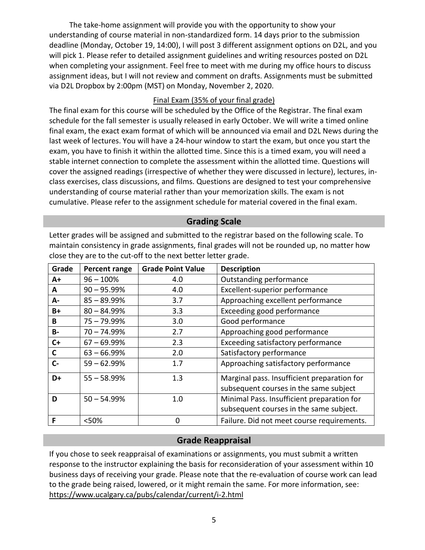The take-home assignment will provide you with the opportunity to show your understanding of course material in non-standardized form. 14 days prior to the submission deadline (Monday, October 19, 14:00), I will post 3 different assignment options on D2L, and you will pick 1. Please refer to detailed assignment guidelines and writing resources posted on D2L when completing your assignment. Feel free to meet with me during my office hours to discuss assignment ideas, but I will not review and comment on drafts. Assignments must be submitted via D2L Dropbox by 2:00pm (MST) on Monday, November 2, 2020.

#### Final Exam (35% of your final grade)

The final exam for this course will be scheduled by the Office of the Registrar. The final exam schedule for the fall semester is usually released in early October. We will write a timed online final exam, the exact exam format of which will be announced via email and D2L News during the last week of lectures. You will have a 24-hour window to start the exam, but once you start the exam, you have to finish it within the allotted time. Since this is a timed exam, you will need a stable internet connection to complete the assessment within the allotted time. Questions will cover the assigned readings (irrespective of whether they were discussed in lecture), lectures, inclass exercises, class discussions, and films. Questions are designed to test your comprehensive understanding of course material rather than your memorization skills. The exam is not cumulative. Please refer to the assignment schedule for material covered in the final exam.

## **Grading Scale**

<span id="page-4-0"></span>Letter grades will be assigned and submitted to the registrar based on the following scale. To maintain consistency in grade assignments, final grades will not be rounded up, no matter how close they are to the cut-off to the next better letter grade.

| Grade     | Percent range | <b>Grade Point Value</b> | <b>Description</b>                          |  |
|-----------|---------------|--------------------------|---------------------------------------------|--|
| A+        | $96 - 100\%$  | 4.0                      | Outstanding performance                     |  |
| A         | $90 - 95.99%$ | 4.0                      | Excellent-superior performance              |  |
| А-        | $85 - 89.99%$ | 3.7                      | Approaching excellent performance           |  |
| B+        | $80 - 84.99%$ | 3.3                      | Exceeding good performance                  |  |
| B         | $75 - 79.99%$ | 3.0                      | Good performance                            |  |
| <b>B-</b> | $70 - 74.99%$ | 2.7                      | Approaching good performance                |  |
| $C+$      | $67 - 69.99%$ | 2.3                      | Exceeding satisfactory performance          |  |
| C         | $63 - 66.99%$ | 2.0                      | Satisfactory performance                    |  |
| $C-$      | $59 - 62.99%$ | 1.7                      | Approaching satisfactory performance        |  |
| D+        | $55 - 58.99%$ | 1.3                      | Marginal pass. Insufficient preparation for |  |
|           |               |                          | subsequent courses in the same subject      |  |
| D         | $50 - 54.99%$ | 1.0                      | Minimal Pass. Insufficient preparation for  |  |
|           |               |                          | subsequent courses in the same subject.     |  |
| F         | <50%          | 0                        | Failure. Did not meet course requirements.  |  |

# **Grade Reappraisal**

<span id="page-4-1"></span>If you chose to seek reappraisal of examinations or assignments, you must submit a written response to the instructor explaining the basis for reconsideration of your assessment within 10 business days of receiving your grade. Please note that the re-evaluation of course work can lead to the grade being raised, lowered, or it might remain the same. For more information, see: <https://www.ucalgary.ca/pubs/calendar/current/i-2.html>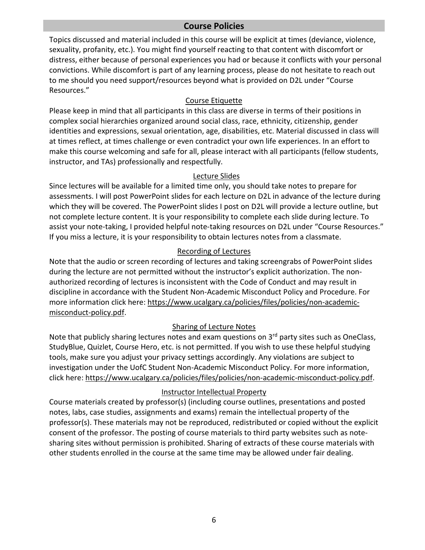## **Course Policies**

<span id="page-5-0"></span>Topics discussed and material included in this course will be explicit at times (deviance, violence, sexuality, profanity, etc.). You might find yourself reacting to that content with discomfort or distress, either because of personal experiences you had or because it conflicts with your personal convictions. While discomfort is part of any learning process, please do not hesitate to reach out to me should you need support/resources beyond what is provided on D2L under "Course Resources."

#### Course Etiquette

Please keep in mind that all participants in this class are diverse in terms of their positions in complex social hierarchies organized around social class, race, ethnicity, citizenship, gender identities and expressions, sexual orientation, age, disabilities, etc. Material discussed in class will at times reflect, at times challenge or even contradict your own life experiences. In an effort to make this course welcoming and safe for all, please interact with all participants (fellow students, instructor, and TAs) professionally and respectfully.

#### Lecture Slides

Since lectures will be available for a limited time only, you should take notes to prepare for assessments. I will post PowerPoint slides for each lecture on D2L in advance of the lecture during which they will be covered. The PowerPoint slides I post on D2L will provide a lecture outline, but not complete lecture content. It is your responsibility to complete each slide during lecture. To assist your note-taking, I provided helpful note-taking resources on D2L under "Course Resources." If you miss a lecture, it is your responsibility to obtain lectures notes from a classmate.

#### Recording of Lectures

Note that the audio or screen recording of lectures and taking screengrabs of PowerPoint slides during the lecture are not permitted without the instructor's explicit authorization. The nonauthorized recording of lectures is inconsistent with the Code of Conduct and may result in discipline in accordance with the Student Non-Academic Misconduct Policy and Procedure. For more information click here: [https://www.ucalgary.ca/policies/files/policies/non-academic](https://www.ucalgary.ca/policies/files/policies/non-academic-misconduct-policy.pdf)[misconduct-policy.pdf.](https://www.ucalgary.ca/policies/files/policies/non-academic-misconduct-policy.pdf)

#### Sharing of Lecture Notes

Note that publicly sharing lectures notes and exam questions on  $3<sup>rd</sup>$  party sites such as OneClass, StudyBlue, Quizlet, Course Hero, etc. is not permitted. If you wish to use these helpful studying tools, make sure you adjust your privacy settings accordingly. Any violations are subject to investigation under the UofC Student Non-Academic Misconduct Policy. For more information, click here: [https://www.ucalgary.ca/policies/files/policies/non-academic-misconduct-policy.pdf.](https://www.ucalgary.ca/policies/files/policies/non-academic-misconduct-policy.pdf)

#### Instructor Intellectual Property

Course materials created by professor(s) (including course outlines, presentations and posted notes, labs, case studies, assignments and exams) remain the intellectual property of the professor(s). These materials may not be reproduced, redistributed or copied without the explicit consent of the professor. The posting of course materials to third party websites such as notesharing sites without permission is prohibited. Sharing of extracts of these course materials with other students enrolled in the course at the same time may be allowed under fair dealing.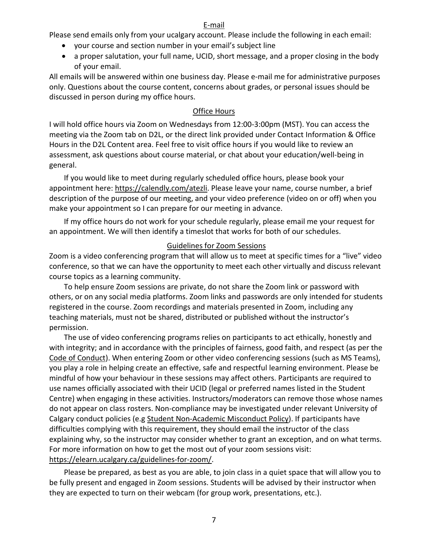#### E-mail

Please send emails only from your ucalgary account. Please include the following in each email:

- your course and section number in your email's subject line
- a proper salutation, your full name, UCID, short message, and a proper closing in the body of your email.

All emails will be answered within one business day. Please e-mail me for administrative purposes only. Questions about the course content, concerns about grades, or personal issues should be discussed in person during my office hours.

#### Office Hours

I will hold office hours via Zoom on Wednesdays from 12:00-3:00pm (MST). You can access the meeting via the Zoom tab on D2L, or the direct link provided under Contact Information & Office Hours in the D2L Content area. Feel free to visit office hours if you would like to review an assessment, ask questions about course material, or chat about your education/well-being in general.

If you would like to meet during regularly scheduled office hours, please book your appointment here[: https://calendly.com/atezli.](https://calendly.com/atezli) Please leave your name, course number, a brief description of the purpose of our meeting, and your video preference (video on or off) when you make your appointment so I can prepare for our meeting in advance.

If my office hours do not work for your schedule regularly, please email me your request for an appointment. We will then identify a timeslot that works for both of our schedules.

#### Guidelines for Zoom Sessions

Zoom is a video conferencing program that will allow us to meet at specific times for a "live" video conference, so that we can have the opportunity to meet each other virtually and discuss relevant course topics as a learning community.

To help ensure Zoom sessions are private, do not share the Zoom link or password with others, or on any social media platforms. Zoom links and passwords are only intended for students registered in the course. Zoom recordings and materials presented in Zoom, including any teaching materials, must not be shared, distributed or published without the instructor's permission.

The use of video conferencing programs relies on participants to act ethically, honestly and with integrity; and in accordance with the principles of fairness, good faith, and respect (as per the [Code of Conduct\)](https://www.ucalgary.ca/policies/files/policies/code-of-conduct.pdf). When entering Zoom or other video conferencing sessions (such as MS Teams), you play a role in helping create an effective, safe and respectful learning environment. Please be mindful of how your behaviour in these sessions may affect others. Participants are required to use names officially associated with their UCID (legal or preferred names listed in the Student Centre) when engaging in these activities. Instructors/moderators can remove those whose names do not appear on class rosters. Non-compliance may be investigated under relevant University of Calgary conduct policies (e.g [Student Non-Academic Misconduct Policy\)](https://ucalgary.ca/policies/files/policies/non-academic-misconduct-policy.pdf). If participants have difficulties complying with this requirement, they should email the instructor of the class explaining why, so the instructor may consider whether to grant an exception, and on what terms. For more information on how to get the most out of your zoom sessions visit: [https://elearn.ucalgary.ca/guidelines-for-zoom/.](https://elearn.ucalgary.ca/guidelines-for-zoom/)

Please be prepared, as best as you are able, to join class in a quiet space that will allow you to be fully present and engaged in Zoom sessions. Students will be advised by their instructor when they are expected to turn on their webcam (for group work, presentations, etc.).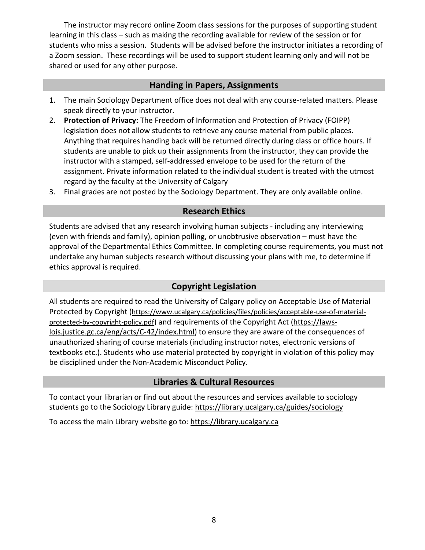The instructor may record online Zoom class sessions for the purposes of supporting student learning in this class – such as making the recording available for review of the session or for students who miss a session. Students will be advised before the instructor initiates a recording of a Zoom session. These recordings will be used to support student learning only and will not be shared or used for any other purpose.

## **Handing in Papers, Assignments**

- <span id="page-7-0"></span>1. The main Sociology Department office does not deal with any course-related matters. Please speak directly to your instructor.
- 2. **Protection of Privacy:** The Freedom of Information and Protection of Privacy (FOIPP) legislation does not allow students to retrieve any course material from public places. Anything that requires handing back will be returned directly during class or office hours. If students are unable to pick up their assignments from the instructor, they can provide the instructor with a stamped, self-addressed envelope to be used for the return of the assignment. Private information related to the individual student is treated with the utmost regard by the faculty at the University of Calgary
- <span id="page-7-1"></span>3. Final grades are not posted by the Sociology Department. They are only available online.

#### **Research Ethics**

Students are advised that any research involving human subjects - including any interviewing (even with friends and family), opinion polling, or unobtrusive observation – must have the approval of the Departmental Ethics Committee. In completing course requirements, you must not undertake any human subjects research without discussing your plans with me, to determine if ethics approval is required.

## **Copyright Legislation**

<span id="page-7-2"></span>All students are required to read the University of Calgary policy on Acceptable Use of Material Protected by Copyright [\(https://www.ucalgary.ca/policies/files/policies/acceptable-use-of-material](https://www.ucalgary.ca/policies/files/policies/acceptable-use-of-material-protected-by-copyright-policy.pdf)[protected-by-copyright-policy.pdf\)](https://www.ucalgary.ca/policies/files/policies/acceptable-use-of-material-protected-by-copyright-policy.pdf) and requirements of the Copyright Act [\(https://laws](https://laws-lois.justice.gc.ca/eng/acts/C-42/index.html)[lois.justice.gc.ca/eng/acts/C-42/index.html\)](https://laws-lois.justice.gc.ca/eng/acts/C-42/index.html) to ensure they are aware of the consequences of unauthorized sharing of course materials (including instructor notes, electronic versions of textbooks etc.). Students who use material protected by copyright in violation of this policy may be disciplined under the Non-Academic Misconduct Policy.

#### **Libraries & Cultural Resources**

<span id="page-7-3"></span>To contact your librarian or find out about the resources and services available to sociology students go to the Sociology Library guide:<https://library.ucalgary.ca/guides/sociology>

To access the main Library website go to: [https://library.ucalgary.ca](https://library.ucalgary.ca/)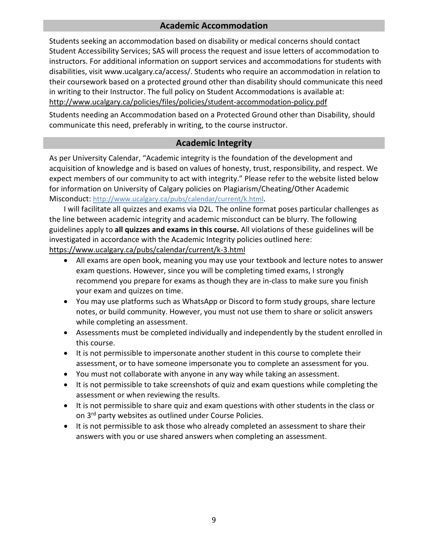## **Academic Accommodation**

<span id="page-8-0"></span>Students seeking an accommodation based on disability or medical concerns should contact Student Accessibility Services; SAS will process the request and issue letters of accommodation to instructors. For additional information on support services and accommodations for students with disabilities, visit www.ucalgary.ca/access/. Students who require an accommodation in relation to their coursework based on a protected ground other than disability should communicate this need in writing to their Instructor. The full policy on Student Accommodations is available at: <http://www.ucalgary.ca/policies/files/policies/student-accommodation-policy.pdf>

Students needing an Accommodation based on a Protected Ground other than Disability, should communicate this need, preferably in writing, to the course instructor.

## **Academic Integrity**

<span id="page-8-1"></span>As per University Calendar, "Academic integrity is the foundation of the development and acquisition of knowledge and is based on values of honesty, trust, responsibility, and respect. We expect members of our community to act with integrity." Please refer to the website listed below for information on University of Calgary policies on Plagiarism/Cheating/Other Academic Misconduct: [http://www.ucalgary.ca/pubs/calendar/current/k.html.](http://www.ucalgary.ca/pubs/calendar/current/k.html)

I will facilitate all quizzes and exams via D2L. The online format poses particular challenges as the line between academic integrity and academic misconduct can be blurry. The following guidelines apply to **all quizzes and exams in this course.** All violations of these guidelines will be investigated in accordance with the Academic Integrity policies outlined here: <https://www.ucalgary.ca/pubs/calendar/current/k-3.html>

- All exams are open book, meaning you may use your textbook and lecture notes to answer exam questions. However, since you will be completing timed exams, I strongly recommend you prepare for exams as though they are in-class to make sure you finish your exam and quizzes on time.
- You may use platforms such as WhatsApp or Discord to form study groups, share lecture notes, or build community. However, you must not use them to share or solicit answers while completing an assessment.
- Assessments must be completed individually and independently by the student enrolled in this course.
- It is not permissible to impersonate another student in this course to complete their assessment, or to have someone impersonate you to complete an assessment for you.
- You must not collaborate with anyone in any way while taking an assessment.
- It is not permissible to take screenshots of quiz and exam questions while completing the assessment or when reviewing the results.
- It is not permissible to share quiz and exam questions with other students in the class or on 3<sup>rd</sup> party websites as outlined under Course Policies.
- It is not permissible to ask those who already completed an assessment to share their answers with you or use shared answers when completing an assessment.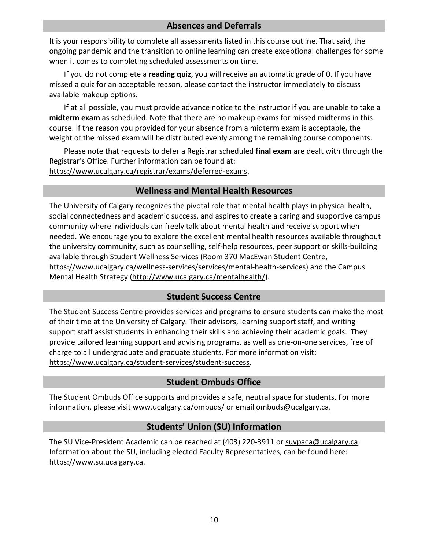## **Absences and Deferrals**

<span id="page-9-0"></span>It is your responsibility to complete all assessments listed in this course outline. That said, the ongoing pandemic and the transition to online learning can create exceptional challenges for some when it comes to completing scheduled assessments on time.

If you do not complete a **reading quiz**, you will receive an automatic grade of 0. If you have missed a quiz for an acceptable reason, please contact the instructor immediately to discuss available makeup options.

If at all possible, you must provide advance notice to the instructor if you are unable to take a **midterm exam** as scheduled. Note that there are no makeup exams for missed midterms in this course. If the reason you provided for your absence from a midterm exam is acceptable, the weight of the missed exam will be distributed evenly among the remaining course components.

Please note that requests to defer a Registrar scheduled **final exam** are dealt with through the Registrar's Office. Further information can be found at: [https://www.ucalgary.ca/registrar/exams/deferred-exams.](https://www.ucalgary.ca/registrar/exams/deferred-exams)

## **Wellness and Mental Health Resources**

<span id="page-9-1"></span>The University of Calgary recognizes the pivotal role that mental health plays in physical health, social connectedness and academic success, and aspires to create a caring and supportive campus community where individuals can freely talk about mental health and receive support when needed. We encourage you to explore the excellent mental health resources available throughout the university community, such as counselling, self-help resources, peer support or skills-building available through Student Wellness Services (Room 370 MacEwan Student Centre, [https://www.ucalgary.ca/wellness-services/services/mental-health-services\)](https://www.ucalgary.ca/wellness-services/services/mental-health-services) and the Campus Mental Health Strategy [\(http://www.ucalgary.ca/mentalhealth/\)](http://www.ucalgary.ca/mentalhealth/).

#### **Student Success Centre**

<span id="page-9-2"></span>The Student Success Centre provides services and programs to ensure students can make the most of their time at the University of Calgary. Their advisors, learning support staff, and writing support staff assist students in enhancing their skills and achieving their academic goals. They provide tailored learning support and advising programs, as well as one-on-one services, free of charge to all undergraduate and graduate students. For more information visit: [https://www.ucalgary.ca/student-services/student-success.](https://www.ucalgary.ca/student-services/student-success)

## **Student Ombuds Office**

<span id="page-9-3"></span>The Student Ombuds Office supports and provides a safe, neutral space for students. For more information, please visit www.ucalgary.ca/ombuds/ or email **ombuds@ucalgary.ca**.

# **Students' Union (SU) Information**

<span id="page-9-4"></span>The SU Vice-President Academic can be reached at (403) 220-3911 or [suvpaca@ucalgary.ca;](mailto:suvpaca@ucalgary.ca) Information about the SU, including elected Faculty Representatives, can be found here: [https://www.su.ucalgary.ca.](https://www.su.ucalgary.ca/)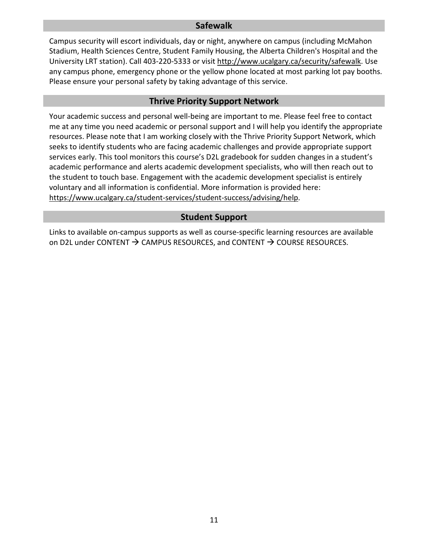## **Safewalk**

<span id="page-10-0"></span>Campus security will escort individuals, day or night, anywhere on campus (including McMahon Stadium, Health Sciences Centre, Student Family Housing, the Alberta Children's Hospital and the University LRT station). Call 403-220-5333 or visit [http://www.ucalgary.ca/security/safewalk.](http://www.ucalgary.ca/security/safewalk) Use any campus phone, emergency phone or the yellow phone located at most parking lot pay booths. Please ensure your personal safety by taking advantage of this service.

#### **Thrive Priority Support Network**

<span id="page-10-1"></span>Your academic success and personal well-being are important to me. Please feel free to contact me at any time you need academic or personal support and I will help you identify the appropriate resources. Please note that I am working closely with the Thrive Priority Support Network, which seeks to identify students who are facing academic challenges and provide appropriate support services early. This tool monitors this course's D2L gradebook for sudden changes in a student's academic performance and alerts academic development specialists, who will then reach out to the student to touch base. Engagement with the academic development specialist is entirely voluntary and all information is confidential. More information is provided here: [https://www.ucalgary.ca/student-services/student-success/advising/help.](https://www.ucalgary.ca/student-services/student-success/advising/help)

## **Student Support**

Links to available on-campus supports as well as course-specific learning resources are available on D2L under CONTENT  $\rightarrow$  CAMPUS RESOURCES, and CONTENT  $\rightarrow$  COURSE RESOURCES.